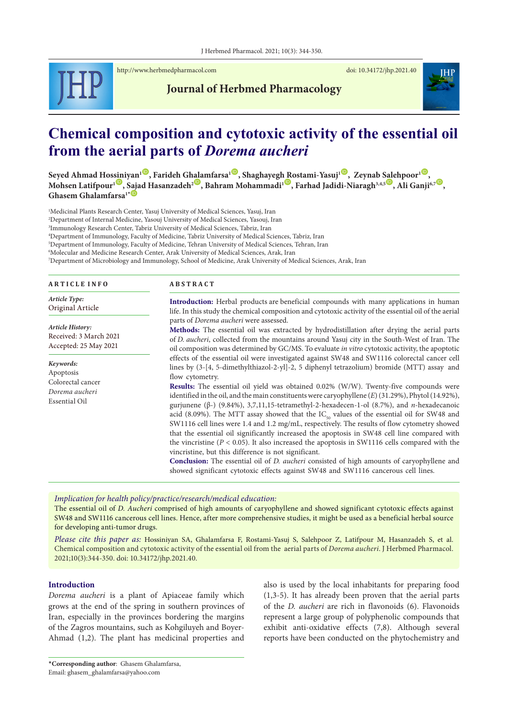

<http://www.herbmedpharmacol.com> doi: [10.34172/jhp.2021.40](https://doi.org/10.34172/jhp.2021.40)

**Journal of Herbmed Pharmacology**

# **Chemical composition and cytotoxic activity of the essential oil from the aerial parts of** *Dorema aucheri*

 $\delta$ eyed Ahmad Ho[ssini](https://orcid.org/0000-0001-8231-3243)yan<sup>ı (D)</sup>, Farideh G[hala](https://orcid.org/0000-0001-6747-0750)mfarsa<sup>ı (D)</sup>, Shaghayeg[h Ro](https://orcid.org/0000-0003-1063-4413)stami-Yasuj<sup>ı (D)</sup>, Zeynab [Sale](https://orcid.org/0000-0002-4641-882X)hpoor<sup>ı (D</sup>),  $\bm{\Lambda}$ ohsen Latifpour<sup>ı $\bm{\mathbb{D}},$  [Saja](https://orcid.org/0000-0002-5554-6268)d Hasanzadeh $^2$   $\bm{\mathbb{D}},$  Bahram Mohammadi<sup>ı  $\bm{\mathbb{D}},$  Farhad Jadidi-Niaragh $^{3,4,5}$   $\bm{\mathbb{D}},$  Ali Ganji $^{6,7}$   $\bm{\mathbb{D}},$ </sup></sup> **Ghasem Ghalamfarsa<sup>1</sup>** 

1 Medicinal Plants Research Center, Yasuj University of Medical Sciences, Yasuj, Iran

2 Department of Internal Medicine, Yasouj University of Medical Sciences, Yasouj, Iran

3 Immunology Research Center, Tabriz University of Medical Sciences, Tabriz, Iran

4 Department of Immunology, Faculty of Medicine, Tabriz University of Medical Sciences, Tabriz, Iran 5 Department of Immunology, Faculty of Medicine, Tehran University of Medical Sciences, Tehran, Iran

6 Molecular and Medicine Research Center, Arak University of Medical Sciences, Arak, Iran

7 Department of Microbiology and Immunology, School of Medicine, Arak University of Medical Sciences, Arak, Iran

*Keywords:* Apoptosis Colorectal cancer *Dorema aucheri* Essential Oil

*Article History:* Received: 3 March 2021 Accepted: 25 May 2021

*Article Type:* Original Article **A B S T R A C T**

**Introduction:** Herbal products are beneficial compounds with many applications in human life. In this study the chemical composition and cytotoxic activity of the essential oil of the aerial parts of *Dorema aucheri* were assessed.

**Methods:** The essential oil was extracted by hydrodistillation after drying the aerial parts of *D. aucheri*, collected from the mountains around Yasuj city in the South-West of Iran. The oil composition was determined by GC/MS. To evaluate *in vitro* cytotoxic activity, the apoptotic effects of the essential oil were investigated against SW48 and SW1116 colorectal cancer cell lines by (3-[4, 5-dimethylthiazol-2-yl]-2, 5 diphenyl tetrazolium) bromide (MTT) assay and flow cytometry.

**Results:** The essential oil yield was obtained 0.02% (W/W). Twenty-five compounds were identified in the oil, and the main constituents were caryophyllene (*E*) (31.29%), Phytol (14.92%), gurjunene (β-) (9.84%), 3,7,11,15-tetramethyl-2-hexadecen-1-ol (8.7%), and *n*-hexadecanoic acid (8.09%). The MTT assay showed that the  $IC_{50}$  values of the essential oil for SW48 and SW1116 cell lines were 1.4 and 1.2 mg/mL, respectively. The results of flow cytometry showed that the essential oil significantly increased the apoptosis in SW48 cell line compared with the vincristine ( $P < 0.05$ ). It also increased the apoptosis in SW1116 cells compared with the vincristine, but this difference is not significant.

**Conclusion:** The essential oil of *D. aucheri* consisted of high amounts of caryophyllene and showed significant cytotoxic effects against SW48 and SW1116 cancerous cell lines.

*Implication for health policy/practice/research/medical education:*

The essential oil of *D. Aucheri* comprised of high amounts of caryophyllene and showed significant cytotoxic effects against SW48 and SW1116 cancerous cell lines. Hence, after more comprehensive studies, it might be used as a beneficial herbal source for developing anti-tumor drugs.

*Please cite this paper as:* Hossiniyan SA, Ghalamfarsa F, Rostami-Yasuj S, Salehpoor Z, Latifpour M, Hasanzadeh S, et al. Chemical composition and cytotoxic activity of the essential oil from the aerial parts of *Dorema aucheri*. J Herbmed Pharmacol. 2021;10(3):344-350. doi: 10.34172/jhp.2021.40.

## **Introduction**

*Dorema aucheri* is a plant of Apiaceae family which grows at the end of the spring in southern provinces of Iran, especially in the provinces bordering the margins of the Zagros mountains, such as Kohgiluyeh and Boyer-Ahmad (1,2). The plant has medicinal properties and

also is used by the local inhabitants for preparing food (1,3-5). It has already been proven that the aerial parts of the *D. aucheri* are rich in flavonoids (6). Flavonoids represent a large group of polyphenolic compounds that exhibit anti-oxidative effects (7,8). Although several reports have been conducted on the phytochemistry and

\***Corresponding author**: Ghasem Ghalamfarsa,

Email: ghasem\_ghalamfarsa@yahoo.com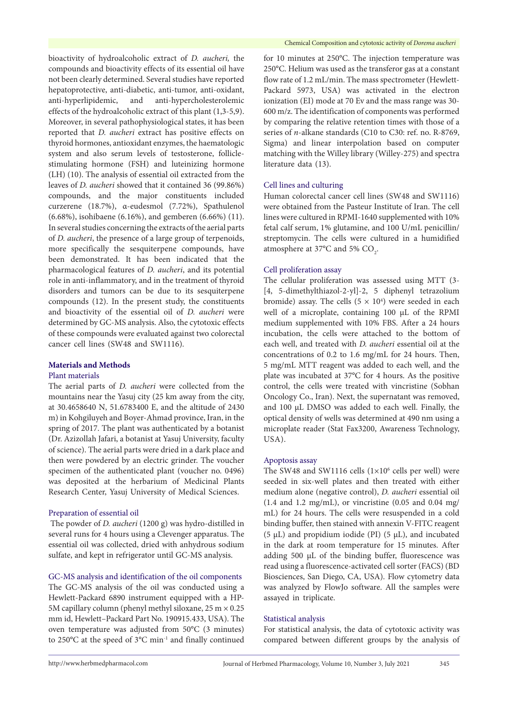bioactivity of hydroalcoholic extract of *D. aucheri,* the compounds and bioactivity effects of its essential oil have not been clearly determined. Several studies have reported hepatoprotective, anti-diabetic, anti-tumor, anti-oxidant, anti-hyperlipidemic, and anti-hypercholesterolemic effects of the hydroalcoholic extract of this plant (1,3-5,9). Moreover, in several pathophysiological states, it has been reported that *D. aucheri* extract has positive effects on thyroid hormones, antioxidant enzymes, the haematologic system and also serum levels of testosterone, folliclestimulating hormone (FSH) and luteinizing hormone (LH) (10). The analysis of essential oil extracted from the leaves of *D. aucheri* showed that it contained 36 (99.86%) compounds, and the major constituents included curzerene (18.7%), α-eudesmol (7.72%), Spathulenol (6.68%), isohibaene (6.16%), and gemberen (6.66%) (11). In several studies concerning the extracts of the aerial parts of *D. aucheri*, the presence of a large group of terpenoids, more specifically the sesquiterpene compounds, have been demonstrated. It has been indicated that the pharmacological features of *D. aucheri*, and its potential role in anti-inflammatory, and in the treatment of thyroid disorders and tumors can be due to its sesquiterpene compounds (12). In the present study, the constituents and bioactivity of the essential oil of *D. aucheri* were determined by GC-MS analysis. Also, the cytotoxic effects of these compounds were evaluated against two colorectal cancer cell lines (SW48 and SW1116).

# **Materials and Methods**

## Plant materials

The aerial parts of *D. aucheri* were collected from the mountains near the Yasuj city (25 km away from the city, at 30.4658640 N, 51.6783400 E, and the altitude of 2430 m) in Kohgiluyeh and Boyer-Ahmad province, Iran, in the spring of 2017. The plant was authenticated by a botanist (Dr. Azizollah Jafari, a botanist at Yasuj University, faculty of science). The aerial parts were dried in a dark place and then were powdered by an electric grinder. The voucher specimen of the authenticated plant (voucher no. 0496) was deposited at the herbarium of Medicinal Plants Research Center, Yasuj University of Medical Sciences.

## Preparation of essential oil

The powder of *D. aucheri* (1200 g) was hydro-distilled in several runs for 4 hours using a Clevenger apparatus. The essential oil was collected, dried with anhydrous sodium sulfate, and kept in refrigerator until GC-MS analysis.

# GC-MS analysis and identification of the oil components

The GC-MS analysis of the oil was conducted using a Hewlett-Packard 6890 instrument equipped with a HP-5M capillary column (phenyl methyl siloxane, 25 m × 0.25 mm id, Hewlett–Packard Part No. 190915.433, USA). The oven temperature was adjusted from 50°C (3 minutes) to 250°C at the speed of 3°C min-1 and finally continued

for 10 minutes at 250°C. The injection temperature was 250°C. Helium was used as the transferor gas at a constant flow rate of 1.2 mL/min. The mass spectrometer (Hewlett-Packard 5973, USA) was activated in the electron ionization (EI) mode at 70 Ev and the mass range was 30- 600 m/z. The identification of components was performed by comparing the relative retention times with those of a series of *n*-alkane standards (C10 to C30: ref. no. R-8769, Sigma) and linear interpolation based on computer matching with the Willey library (Willey-275) and spectra literature data (13).

# Cell lines and culturing

Human colorectal cancer cell lines (SW48 and SW1116) were obtained from the Pasteur Institute of Iran. The cell lines were cultured in RPMI-1640 supplemented with 10% fetal calf serum, 1% glutamine, and 100 U/mL penicillin/ streptomycin. The cells were cultured in a humidified atmosphere at 37°C and 5%  $\text{CO}_2$ .

## Cell proliferation assay

The cellular proliferation was assessed using MTT (3- [4, 5-dimethylthiazol-2-yl]-2, 5 diphenyl tetrazolium bromide) assay. The cells  $(5 \times 10^4)$  were seeded in each well of a microplate, containing 100 μL of the RPMI medium supplemented with 10% FBS. After a 24 hours incubation, the cells were attached to the bottom of each well, and treated with *D. aucheri* essential oil at the concentrations of 0.2 to 1.6 mg/mL for 24 hours. Then, 5 mg/mL MTT reagent was added to each well, and the plate was incubated at 37°C for 4 hours. As the positive control, the cells were treated with vincristine (Sobhan Oncology Co., Iran). Next, the supernatant was removed, and 100 μL DMSO was added to each well. Finally, the optical density of wells was determined at 490 nm using a microplate reader (Stat Fax3200, Awareness Technology, USA).

## Apoptosis assay

The SW48 and SW1116 cells  $(1 \times 10^6 \text{ cells per well})$  were seeded in six-well plates and then treated with either medium alone (negative control), *D. aucheri* essential oil  $(1.4$  and  $1.2$  mg/mL), or vincristine  $(0.05$  and  $0.04$  mg/ mL) for 24 hours. The cells were resuspended in a cold binding buffer, then stained with annexin V-FITC reagent (5  $\mu$ L) and propidium iodide (PI) (5  $\mu$ L), and incubated in the dark at room temperature for 15 minutes. After adding 500 μL of the binding buffer, fluorescence was read using a fluorescence-activated cell sorter (FACS) (BD Biosciences, San Diego, CA, USA). Flow cytometry data was analyzed by FlowJo software. All the samples were assayed in triplicate.

## Statistical analysis

For statistical analysis, the data of cytotoxic activity was compared between different groups by the analysis of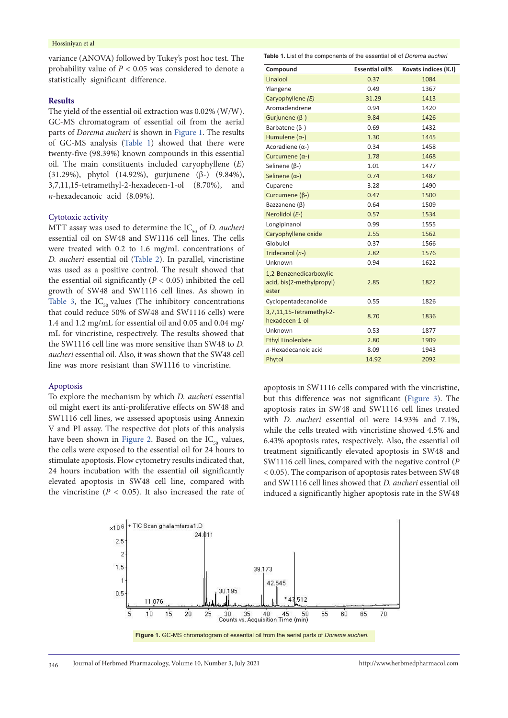## Hossiniyan et al

variance (ANOVA) followed by Tukey's post hoc test. The probability value of *P* < 0.05 was considered to denote a statistically significant difference.

## **Results**

The yield of the essential oil extraction was 0.02% (W/W). GC-MS chromatogram of essential oil from the aerial parts of *Dorema aucheri* is shown in [Figure](#page-2-0) 1. The results of GC-MS analysis ([Table](#page-2-1) 1) showed that there were twenty-five (98.39%) known compounds in this essential oil. The main constituents included caryophyllene (*E*) (31.29%), phytol (14.92%), gurjunene (β-) (9.84%), 3,7,11,15-tetramethyl-2-hexadecen-1-ol (8.70%), and *n*-hexadecanoic acid (8.09%).

#### Cytotoxic activity

MTT assay was used to determine the IC<sub>50</sub> of *D. aucheri* essential oil on SW48 and SW1116 cell lines. The cells were treated with 0.2 to 1.6 mg/mL concentrations of *D. aucheri* essential oil [\(Table](#page-3-0) 2). In parallel, vincristine was used as a positive control. The result showed that the essential oil significantly (*P* < 0.05) inhibited the cell growth of SW48 and SW1116 cell lines. As shown in [Table](#page-3-1) 3, the  $IC_{50}$  values (The inhibitory concentrations that could reduce 50% of SW48 and SW1116 cells) were 1.4 and 1.2 mg/mL for essential oil and 0.05 and 0.04 mg/ mL for vincristine, respectively. The results showed that the SW1116 cell line was more sensitive than SW48 to *D. aucheri* essential oil. Also, it was shown that the SW48 cell line was more resistant than SW1116 to vincristine.

## Apoptosis

To explore the mechanism by which *D. aucheri* essential oil might exert its anti-proliferative effects on SW48 and SW1116 cell lines, we assessed apoptosis using Annexin V and PI assay. The respective dot plots of this analysis have been shown in [Figure](#page-3-2) 2. Based on the  $IC_{50}$  values, the cells were exposed to the essential oil for 24 hours to stimulate apoptosis. Flow cytometry results indicated that, 24 hours incubation with the essential oil significantly elevated apoptosis in SW48 cell line, compared with the vincristine  $(P < 0.05)$ . It also increased the rate of <span id="page-2-1"></span>**Table 1.** List of the components of the essential oil of *Dorema aucheri*

| Compound                                                      | <b>Essential oil%</b> | Kovats indices (K.I) |
|---------------------------------------------------------------|-----------------------|----------------------|
| Linalool                                                      | 0.37                  | 1084                 |
| Ylangene                                                      | 0.49                  | 1367                 |
| Caryophyllene (E)                                             | 31.29                 | 1413                 |
| Aromadendrene                                                 | 0.94                  | 1420                 |
| Gurjunene $(\beta-)$                                          | 9.84                  | 1426                 |
| Barbatene $(\beta-)$                                          | 0.69                  | 1432                 |
| Humulene $(\alpha$ -)                                         | 1.30                  | 1445                 |
| Acoradiene $(\alpha-)$                                        | 0.34                  | 1458                 |
| Curcumene $(\alpha-)$                                         | 1.78                  | 1468                 |
| Selinene $(\beta-)$                                           | 1.01                  | 1477                 |
| Selinene $(\alpha-)$                                          | 0.74                  | 1487                 |
| Cuparene                                                      | 3.28                  | 1490                 |
| Curcumene $(\beta-)$                                          | 0.47                  | 1500                 |
| Bazzanene $(\beta)$                                           | 0.64                  | 1509                 |
| Nerolidol (E-)                                                | 0.57                  | 1534                 |
| Longipinanol                                                  | 0.99                  | 1555                 |
| Caryophyllene oxide                                           | 2.55                  | 1562                 |
| Globulol                                                      | 0.37                  | 1566                 |
| Tridecanol (n-)                                               | 2.82                  | 1576                 |
| Unknown                                                       | 0.94                  | 1622                 |
| 1,2-Benzenedicarboxylic<br>acid, bis(2-methylpropyl)<br>ester | 2.85                  | 1822                 |
| Cyclopentadecanolide                                          | 0.55                  | 1826                 |
| 3,7,11,15-Tetramethyl-2-<br>hexadecen-1-ol                    | 8.70                  | 1836                 |
| Unknown                                                       | 0.53                  | 1877                 |
| <b>Ethyl Linoleolate</b>                                      | 2.80                  | 1909                 |
| n-Hexadecanoic acid                                           | 8.09                  | 1943                 |
| Phytol                                                        | 14.92                 | 2092                 |

apoptosis in SW1116 cells compared with the vincristine, but this difference was not significant ([Figure](#page-4-0) 3). The apoptosis rates in SW48 and SW1116 cell lines treated with *D. aucheri* essential oil were 14.93% and 7.1%, while the cells treated with vincristine showed 4.5% and 6.43% apoptosis rates, respectively. Also, the essential oil treatment significantly elevated apoptosis in SW48 and SW1116 cell lines, compared with the negative control (*P* < 0.05). The comparison of apoptosis rates between SW48 and SW1116 cell lines showed that *D. aucheri* essential oil induced a significantly higher apoptosis rate in the SW48

<span id="page-2-0"></span>

**Figure 1.** GC-MS chromatogram of essential oil from the aerial parts of *Dorema aucheri.*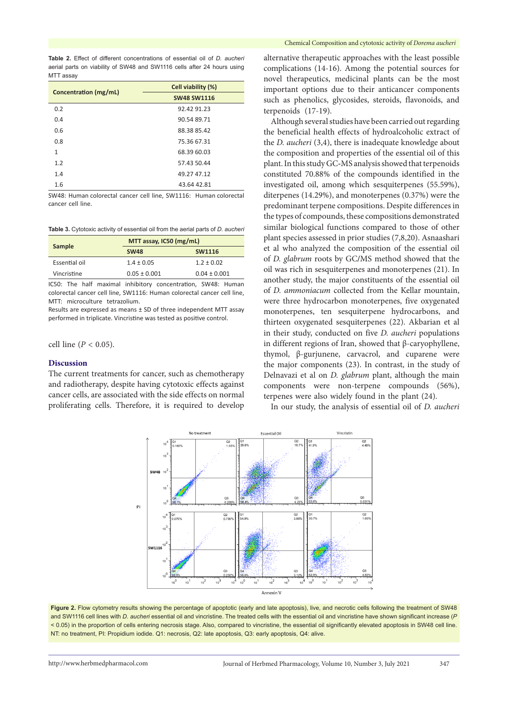<span id="page-3-0"></span>**Table 2.** Effect of different concentrations of essential oil of *D. aucheri* aerial parts on viability of SW48 and SW1116 cells after 24 hours using MTT assay

|                       | Cell viability (%) |  |
|-----------------------|--------------------|--|
| Concentration (mg/mL) | <b>SW48 SW1116</b> |  |
| 0.2                   | 92.42 91.23        |  |
| 0.4                   | 90.54 89.71        |  |
| 0.6                   | 88.38 85.42        |  |
| 0.8                   | 75.36 67.31        |  |
| $\mathbf{1}$          | 68.39 60.03        |  |
| 1.2                   | 57.43 50.44        |  |
| 1.4                   | 49.27 47.12        |  |
| 1.6                   | 43.64 42.81        |  |

SW48: Human colorectal cancer cell line, SW1116: Human colorectal cancer cell line.

<span id="page-3-1"></span>

| Sample        |                  | MTT assay, IC50 (mg/mL) |  |
|---------------|------------------|-------------------------|--|
|               | <b>SW48</b>      | <b>SW1116</b>           |  |
| Essential oil | $1.4 \pm 0.05$   | $1.2 \pm 0.02$          |  |
| Vincristine   | $0.05 \pm 0.001$ | $0.04 \pm 0.001$        |  |

IC50: The half maximal inhibitory concentration, SW48: Human colorectal cancer cell line, SW1116: Human colorectal cancer cell line, MTT: microculture tetrazolium.

Results are expressed as means ± SD of three independent MTT assay performed in triplicate. Vincristine was tested as positive control.

cell line ( $P < 0.05$ ).

## **Discussion**

The current treatments for cancer, such as chemotherapy and radiotherapy, despite having cytotoxic effects against cancer cells, are associated with the side effects on normal proliferating cells. Therefore, it is required to develop alternative therapeutic approaches with the least possible complications (14-16). Among the potential sources for novel therapeutics, medicinal plants can be the most important options due to their anticancer components such as phenolics, glycosides, steroids, flavonoids, and terpenoids (17-19).

Although several studies have been carried out regarding the beneficial health effects of hydroalcoholic extract of the *D. aucheri* (3,4), there is inadequate knowledge about the composition and properties of the essential oil of this plant. In this study GC**-**MS analysis showed that terpenoids constituted 70.88% of the compounds identified in the investigated oil, among which sesquiterpenes (55.59%), diterpenes (14.29%), and monoterpenes (0.37%) were the predominant terpene compositions. Despite differences in the types of compounds, these compositions demonstrated similar biological functions compared to those of other plant species assessed in prior studies (7,8,20). Asnaashari et al who analyzed the composition of the essential oil of *D. glabrum* roots by GC**/**MS method showed that the oil was rich in sesquiterpenes and monoterpenes (21). In another study, the major constituents of the essential oil of *D. ammoniacum* collected from the Kellar mountain, were three hydrocarbon monoterpenes, five oxygenated monoterpenes, ten sesquiterpene hydrocarbons, and thirteen oxygenated sesquiterpenes (22). Akbarian et al in their study, conducted on five *D. aucheri* populations in different regions of Iran, showed that β-caryophyllene, thymol, β-gurjunene, carvacrol, and cuparene were the major components (23). In contrast, in the study of Delnavazi et al on *D. glabrum* plant, although the main components were non-terpene compounds (56%), terpenes were also widely found in the plant (24).

<span id="page-3-2"></span>In our study, the analysis of essential oil of *D. aucheri*



Figure 2. Flow cytometry results showing the percentage of apoptotic (early and late apoptosis), live, and necrotic cells following the treatment of SW48 and SW1116 cell lines with *D. aucheri* essential oil and vincristine. The treated cells with the essential oil and vincristine have shown significant increase (*P* < 0.05) in the proportion of cells entering necrosis stage. Also, compared to vincristine, the essential oil significantly elevated apoptosis in SW48 cell line. NT: no treatment, PI: Propidium iodide. Q1: necrosis, Q2: late apoptosis, Q3: early apoptosis, Q4: alive.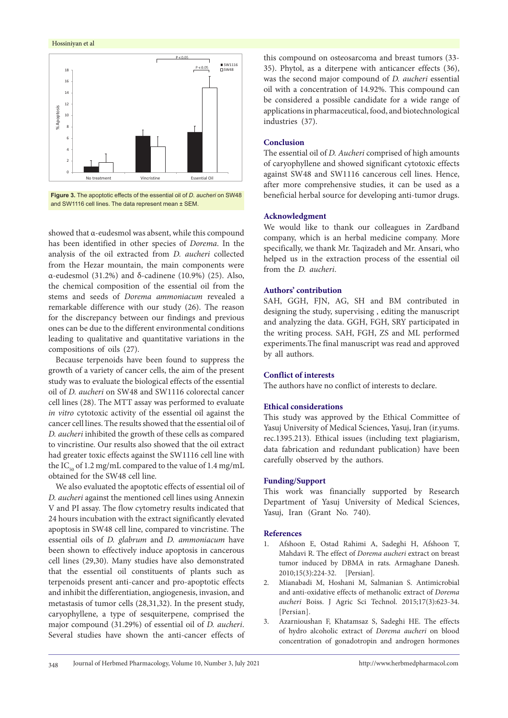## <span id="page-4-0"></span>Hossiniyan et al





showed that α-eudesmol was absent, while this compound has been identified in other species of *Dorema*. In the analysis of the oil extracted from *D. aucheri* collected from the Hezar mountain, the main components were α-eudesmol (31.2%) and δ-cadinene (10.9%) (25). Also, the chemical composition of the essential oil from the stems and seeds of *Dorema ammoniacum* revealed a remarkable difference with our study (26). The reason for the discrepancy between our findings and previous ones can be due to the different environmental conditions leading to qualitative and quantitative variations in the compositions of oils (27).

Because terpenoids have been found to suppress the growth of a variety of cancer cells, the aim of the present study was to evaluate the biological effects of the essential oil of *D. aucheri* on SW48 and SW1116 colorectal cancer cell lines (28). The MTT assay was performed to evaluate *in vitro* cytotoxic activity of the essential oil against the cancer cell lines. The results showed that the essential oil of *D. aucheri* inhibited the growth of these cells as compared to vincristine. Our results also showed that the oil extract had greater toxic effects against the SW1116 cell line with the IC<sub>50</sub> of 1.2 mg/mL compared to the value of 1.4 mg/mL obtained for the SW48 cell line.

We also evaluated the apoptotic effects of essential oil of *D. aucheri* against the mentioned cell lines using Annexin V and PI assay. The flow cytometry results indicated that 24 hours incubation with the extract significantly elevated apoptosis in SW48 cell line, compared to vincristine. The essential oils of *D. glabrum* and *D. ammoniacum* have been shown to effectively induce apoptosis in cancerous cell lines (29,30). Many studies have also demonstrated that the essential oil constituents of plants such as terpenoids present anti-cancer and pro-apoptotic effects and inhibit the differentiation, angiogenesis, invasion, and metastasis of tumor cells (28,31,32). In the present study, caryophyllene, a type of sesquiterpene, comprised the major compound (31.29%) of essential oil of *D. aucheri*. Several studies have shown the anti-cancer effects of

this compound on osteosarcoma and breast tumors (33- 35). Phytol, as a diterpene with anticancer effects (36), was the second major compound of *D. aucheri* essential oil with a concentration of 14.92%. This compound can be considered a possible candidate for a wide range of applications in pharmaceutical, food, and biotechnological industries (37).

## **Conclusion**

The essential oil of *D. Aucheri* comprised of high amounts of caryophyllene and showed significant cytotoxic effects against SW48 and SW1116 cancerous cell lines. Hence, after more comprehensive studies, it can be used as a beneficial herbal source for developing anti-tumor drugs.

## **Acknowledgment**

We would like to thank our colleagues in Zardband company, which is an herbal medicine company. More specifically, we thank Mr. Taqizadeh and Mr. Ansari, who helped us in the extraction process of the essential oil from the *D. aucheri*.

# **Authors' contribution**

SAH, GGH, FJN, AG, SH and BM contributed in designing the study, supervising , editing the manuscript and analyzing the data. GGH, FGH, SRY participated in the writing process. SAH, FGH, ZS and ML performed experiments.The final manuscript was read and approved by all authors.

# **Conflict of interests**

The authors have no conflict of interests to declare.

## **Ethical considerations**

This study was approved by the Ethical Committee of Yasuj University of Medical Sciences, Yasuj, Iran (ir.yums. rec.1395.213). Ethical issues (including text plagiarism, data fabrication and redundant publication) have been carefully observed by the authors.

# **Funding/Support**

This work was financially supported by Research Department of Yasuj University of Medical Sciences, Yasuj, Iran (Grant No. 740).

## **References**

- 1. Afshoon E, Ostad Rahimi A, Sadeghi H, Afshoon T, Mahdavi R. The effect of *Dorema aucheri* extract on breast tumor induced by DBMA in rats. Armaghane Danesh. 2010;15(3):224-32. [Persian].
- 2. Mianabadi M, Hoshani M, Salmanian S. Antimicrobial and anti-oxidative effects of methanolic extract of *Dorema aucheri* Boiss. J Agric Sci Technol. 2015;17(3):623-34. [Persian].
- 3. Azarnioushan F, Khatamsaz S, Sadeghi HE. The effects of hydro alcoholic extract of *Dorema aucheri* on blood concentration of gonadotropin and androgen hormones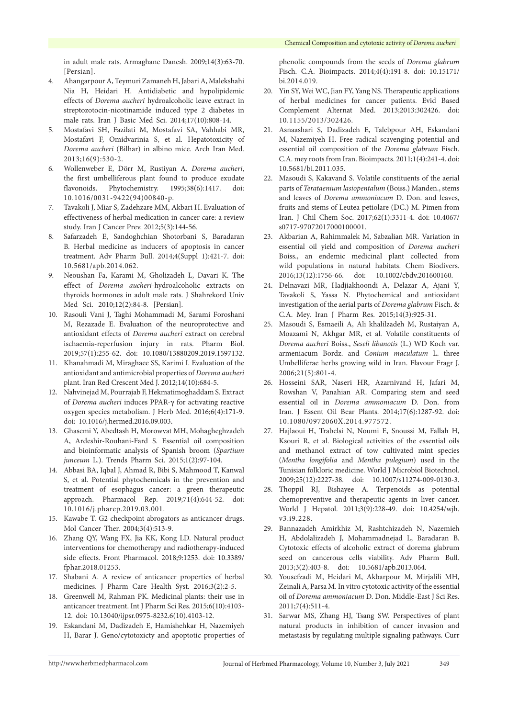in adult male rats. Armaghane Danesh. 2009;14(3):63-70. [Persian].

- 4. Ahangarpour A, Teymuri Zamaneh H, Jabari A, Malekshahi Nia H, Heidari H. Antidiabetic and hypolipidemic effects of *Dorema aucheri* hydroalcoholic leave extract in streptozotocin-nicotinamide induced type 2 diabetes in male rats. Iran J Basic Med Sci. 2014;17(10):808-14.
- 5. Mostafavi SH, Fazilati M, Mostafavi SA, Vahhabi MR, Mostafavi F, Omidvarinia S, et al. Hepatotoxicity of *Dorema aucheri* (Bilhar) in albino mice. Arch Iran Med. 2013;16(9):530-2.
- 6. Wollenweber E, Dörr M, Rustiyan A. *Dorema aucheri*, the first umbelliferous plant found to produce exudate flavonoids. Phytochemistry. 1995;38(6):1417. doi: 10.1016/0031-9422(94)00840-p.
- 7. Tavakoli J, Miar S, Zadehzare MM, Akbari H. Evaluation of effectiveness of herbal medication in cancer care: a review study. Iran J Cancer Prev. 2012;5(3):144-56.
- 8. Safarzadeh E, Sandoghchian Shotorbani S, Baradaran B. Herbal medicine as inducers of apoptosis in cancer treatment. Adv Pharm Bull. 2014;4(Suppl 1):421-7. doi: 10.5681/apb.2014.062.
- 9. Neoushan Fa, Karami M, Gholizadeh L, Davari K. The effect of *Dorema aucheri*-hydroalcoholic extracts on thyroids hormones in adult male rats. J Shahrekord Univ Med Sci. 2010;12(2):84-8. [Persian].
- 10. Rasouli Vani J, Taghi Mohammadi M, Sarami Foroshani M, Rezazade E. Evaluation of the neuroprotective and antioxidant effects of *Dorema aucheri* extract on cerebral ischaemia-reperfusion injury in rats. Pharm Biol. 2019;57(1):255-62. doi: 10.1080/13880209.2019.1597132.
- 11. Khanahmadi M, Miraghaee SS, Karimi I. Evaluation of the antioxidant and antimicrobial properties of *Dorema aucheri* plant. Iran Red Crescent Med J. 2012;14(10):684-5.
- 12. Nahvinejad M, Pourrajab F, Hekmatimoghaddam S. Extract of *Dorema aucheri* induces PPAR-γ for activating reactive oxygen species metabolism. J Herb Med. 2016;6(4):171-9. doi: 10.1016/j.hermed.2016.09.003.
- 13. Ghasemi Y, Abedtash H, Morowvat MH, Mohagheghzadeh A, Ardeshir-Rouhani-Fard S. Essential oil composition and bioinformatic analysis of Spanish broom (*Spartium junceum* L.). Trends Pharm Sci. 2015;1(2):97-104.
- 14. Abbasi BA, Iqbal J, Ahmad R, Bibi S, Mahmood T, Kanwal S, et al. Potential phytochemicals in the prevention and treatment of esophagus cancer: a green therapeutic approach. Pharmacol Rep. 2019;71(4):644-52. doi: 10.1016/j.pharep.2019.03.001.
- 15. Kawabe T. G2 checkpoint abrogators as anticancer drugs. Mol Cancer Ther. 2004;3(4):513-9.
- 16. Zhang QY, Wang FX, Jia KK, Kong LD. Natural product interventions for chemotherapy and radiotherapy-induced side effects. Front Pharmacol. 2018;9:1253. doi: 10.3389/ fphar.2018.01253.
- 17. Shabani A. A review of anticancer properties of herbal medicines. J Pharm Care Health Syst. 2016;3(2):2-5.
- 18. Greenwell M, Rahman PK. Medicinal plants: their use in anticancer treatment. Int J Pharm Sci Res. 2015;6(10):4103- 12. doi: 10.13040/ijpsr.0975-8232.6(10).4103-12.
- 19. Eskandani M, Dadizadeh E, Hamishehkar H, Nazemiyeh H, Barar J. Geno/cytotoxicty and apoptotic properties of

phenolic compounds from the seeds of *Dorema glabrum* Fisch. C.A. Bioimpacts. 2014;4(4):191-8. doi: 10.15171/ bi.2014.019.

- 20. Yin SY, Wei WC, Jian FY, Yang NS. Therapeutic applications of herbal medicines for cancer patients. Evid Based Complement Alternat Med. 2013;2013:302426. doi: 10.1155/2013/302426.
- 21. Asnaashari S, Dadizadeh E, Talebpour AH, Eskandani M, Nazemiyeh H. Free radical scavenging potential and essential oil composition of the *Dorema glabrum* Fisch. C.A. mey roots from Iran. Bioimpacts. 2011;1(4):241-4. doi: 10.5681/bi.2011.035.
- 22. Masoudi S, Kakavand S. Volatile constituents of the aerial parts of *Terataenium lasiopentalum* (Boiss.) Manden., stems and leaves of *Dorema ammoniacum* D. Don. and leaves, fruits and stems of Leutea petiolare (DC.) M. Pimen from Iran. J Chil Chem Soc. 2017;62(1):3311-4. doi: 10.4067/ s0717-97072017000100001.
- 23. Akbarian A, Rahimmalek M, Sabzalian MR. Variation in essential oil yield and composition of *Dorema aucheri* Boiss., an endemic medicinal plant collected from wild populations in natural habitats. Chem Biodivers. 2016;13(12):1756-66. doi: 10.1002/cbdv.201600160.
- 24. Delnavazi MR, Hadjiakhoondi A, Delazar A, Ajani Y, Tavakoli S, Yassa N. Phytochemical and antioxidant investigation of the aerial parts of *Dorema glabrum* Fisch. & C.A. Mey. Iran J Pharm Res. 2015;14(3):925-31.
- 25. Masoudi S, Esmaeili A, Ali khalilzadeh M, Rustaiyan A, Moazami N, Akhgar MR, et al. Volatile constituents of *Dorema aucheri* Boiss., *Seseli libanotis* (L.) WD Koch var. armeniacum Bordz. and *Conium maculatum* L. three Umbelliferae herbs growing wild in Iran. Flavour Fragr J. 2006;21(5):801-4.
- 26. Hosseini SAR, Naseri HR, Azarnivand H, Jafari M, Rowshan V, Panahian AR. Comparing stem and seed essential oil in *Dorema ammoniacum* D. Don. from Iran. J Essent Oil Bear Plants. 2014;17(6):1287-92. doi: 10.1080/0972060X.2014.977572.
- 27. Hajlaoui H, Trabelsi N, Noumi E, Snoussi M, Fallah H, Ksouri R, et al. Biological activities of the essential oils and methanol extract of tow cultivated mint species (*Mentha longifolia* and *Mentha pulegium*) used in the Tunisian folkloric medicine. World J Microbiol Biotechnol. 2009;25(12):2227-38. doi: 10.1007/s11274-009-0130-3.
- 28. Thoppil RJ, Bishayee A. Terpenoids as potential chemopreventive and therapeutic agents in liver cancer. World J Hepatol. 2011;3(9):228-49. doi: 10.4254/wjh. v3.i9.228.
- 29. Bannazadeh Amirkhiz M, Rashtchizadeh N, Nazemieh H, Abdolalizadeh J, Mohammadnejad L, Baradaran B. Cytotoxic effects of alcoholic extract of dorema glabrum seed on cancerous cells viability. Adv Pharm Bull. 2013;3(2):403-8. doi: 10.5681/apb.2013.064.
- 30. Yousefzadi M, Heidari M, Akbarpour M, Mirjalili MH, Zeinali A, Parsa M. In vitro cytotoxic activity of the essential oil of *Dorema ammoniacum* D. Don. Middle-East J Sci Res. 2011;7(4):511-4.
- 31. Sarwar MS, Zhang HJ, Tsang SW. Perspectives of plant natural products in inhibition of cancer invasion and metastasis by regulating multiple signaling pathways. Curr